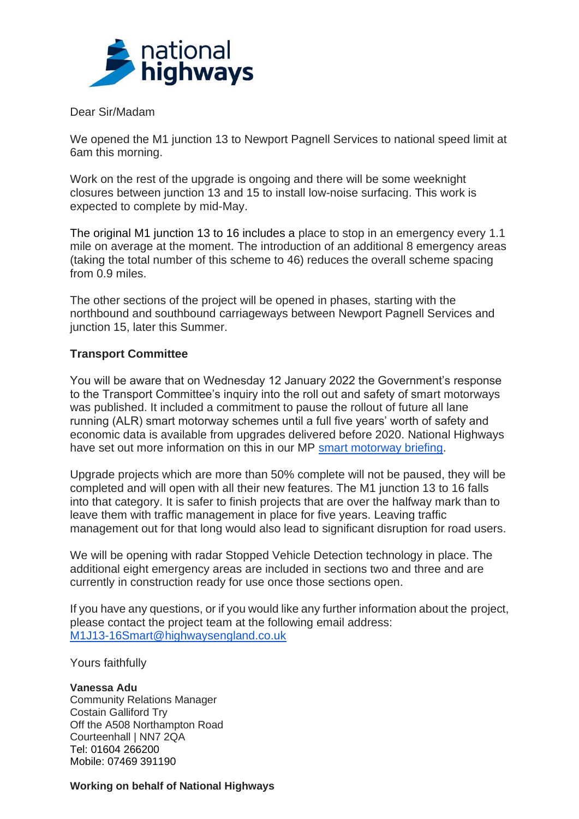

Dear Sir/Madam

We opened the M1 junction 13 to Newport Pagnell Services to national speed limit at 6am this morning.

Work on the rest of the upgrade is ongoing and there will be some weeknight closures between junction 13 and 15 to install low-noise surfacing. This work is expected to complete by mid-May.

The original M1 junction 13 to 16 includes a place to stop in an emergency every 1.1 mile on average at the moment. The introduction of an additional 8 emergency areas (taking the total number of this scheme to 46) reduces the overall scheme spacing from 0.9 miles.

The other sections of the project will be opened in phases, starting with the northbound and southbound carriageways between Newport Pagnell Services and junction 15, later this Summer.

## **Transport Committee**

You will be aware that on Wednesday 12 January 2022 the Government's response to the Transport Committee's inquiry into the roll out and safety of smart motorways was published. It included a commitment to pause the rollout of future all lane running (ALR) smart motorway schemes until a full five years' worth of safety and economic data is available from upgrades delivered before 2020. National Highways have set out more information on this in our MP [smart motorway briefing.](https://s3.eu-west-2.amazonaws.com/assets.nationalhighways.co.uk/Smart+motorways/National+Highways+Smart+Motorway+Briefing+January+2022.pdf)

Upgrade projects which are more than 50% complete will not be paused, they will be completed and will open with all their new features. The M1 junction 13 to 16 falls into that category. It is safer to finish projects that are over the halfway mark than to leave them with traffic management in place for five years. Leaving traffic management out for that long would also lead to significant disruption for road users.

We will be opening with radar Stopped Vehicle Detection technology in place. The additional eight emergency areas are included in sections two and three and are currently in construction ready for use once those sections open.

If you have any questions, or if you would like any further information about the project, please contact the project team at the following email address: [M1J13-16Smart@highwaysengland.co.uk](mailto:M1J13-16Smart@highwaysengland.co.uk)

Yours faithfully

**Vanessa Adu** Community Relations Manager Costain Galliford Try Off the A508 Northampton Road Courteenhall | NN7 2QA Tel: 01604 266200 Mobile: 07469 391190

**Working on behalf of National Highways**